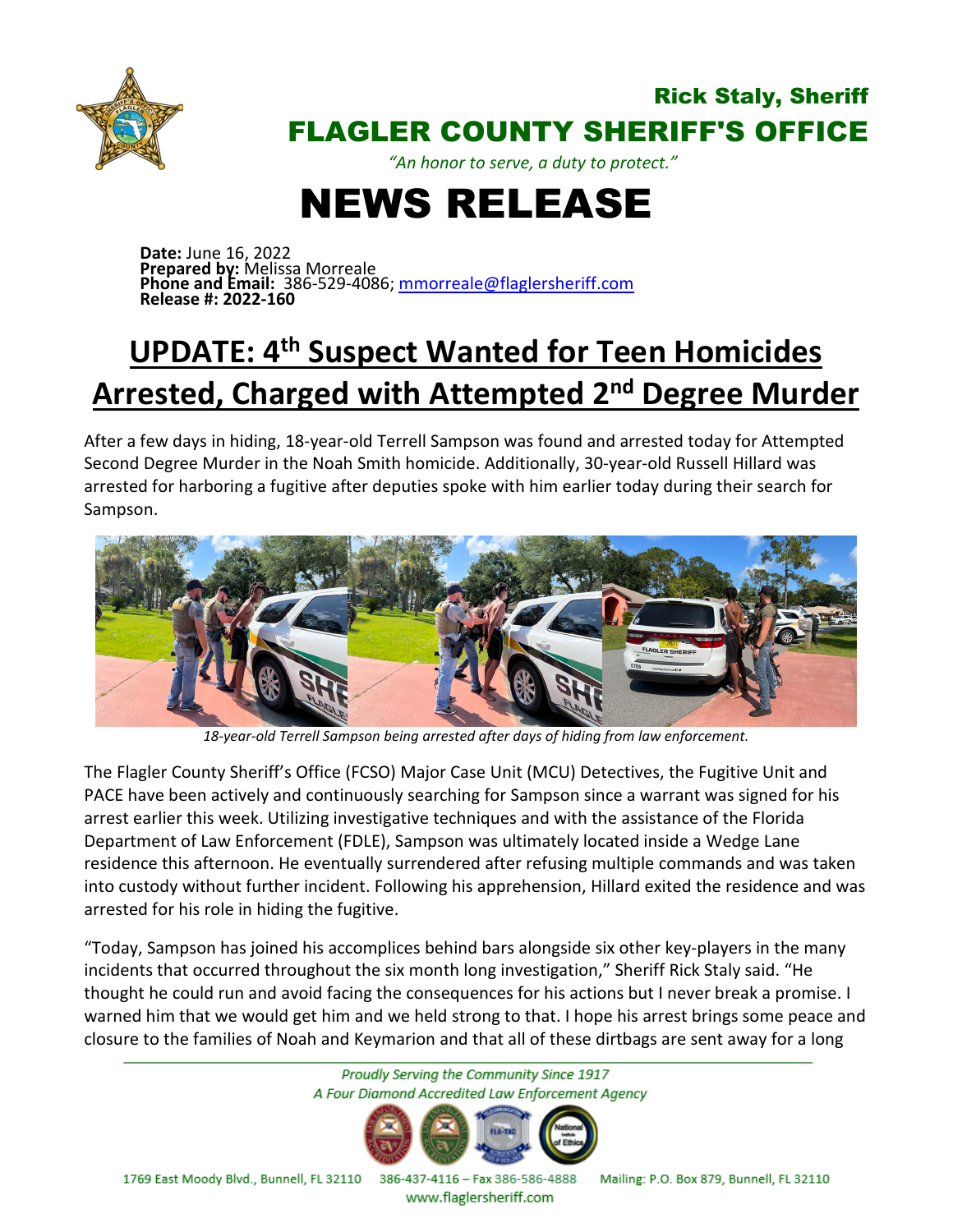

#### Rick Staly, Sheriff FLAGLER COUNTY SHERIFF'S OFFICE

*"An honor to serve, a duty to protect."*

# NEWS RELEASE

**Date:** June 16, 2022 **Prepared by:** Melissa Morreale **Phone and Email:** 386-529-4086; [mmorreale@flaglersheriff.com](mailto:mmorreale@flaglersheriff.com) **Release #: 2022-160**

## **UPDATE: 4th Suspect Wanted for Teen Homicides Arrested, Charged with Attempted 2nd Degree Murder**

After a few days in hiding, 18-year-old Terrell Sampson was found and arrested today for Attempted Second Degree Murder in the Noah Smith homicide. Additionally, 30-year-old Russell Hillard was arrested for harboring a fugitive after deputies spoke with him earlier today during their search for Sampson.



*18-year-old Terrell Sampson being arrested after days of hiding from law enforcement.*

The Flagler County Sheriff's Office (FCSO) Major Case Unit (MCU) Detectives, the Fugitive Unit and PACE have been actively and continuously searching for Sampson since a warrant was signed for his arrest earlier this week. Utilizing investigative techniques and with the assistance of the Florida Department of Law Enforcement (FDLE), Sampson was ultimately located inside a Wedge Lane residence this afternoon. He eventually surrendered after refusing multiple commands and was taken into custody without further incident. Following his apprehension, Hillard exited the residence and was arrested for his role in hiding the fugitive.

"Today, Sampson has joined his accomplices behind bars alongside six other key-players in the many incidents that occurred throughout the six month long investigation," Sheriff Rick Staly said. "He thought he could run and avoid facing the consequences for his actions but I never break a promise. I warned him that we would get him and we held strong to that. I hope his arrest brings some peace and closure to the families of Noah and Keymarion and that all of these dirtbags are sent away for a long



386-437-4116 - Fax 386-586-4888 Mailing: P.O. Box 879, Bunnell, FL 32110

www.flaglersheriff.com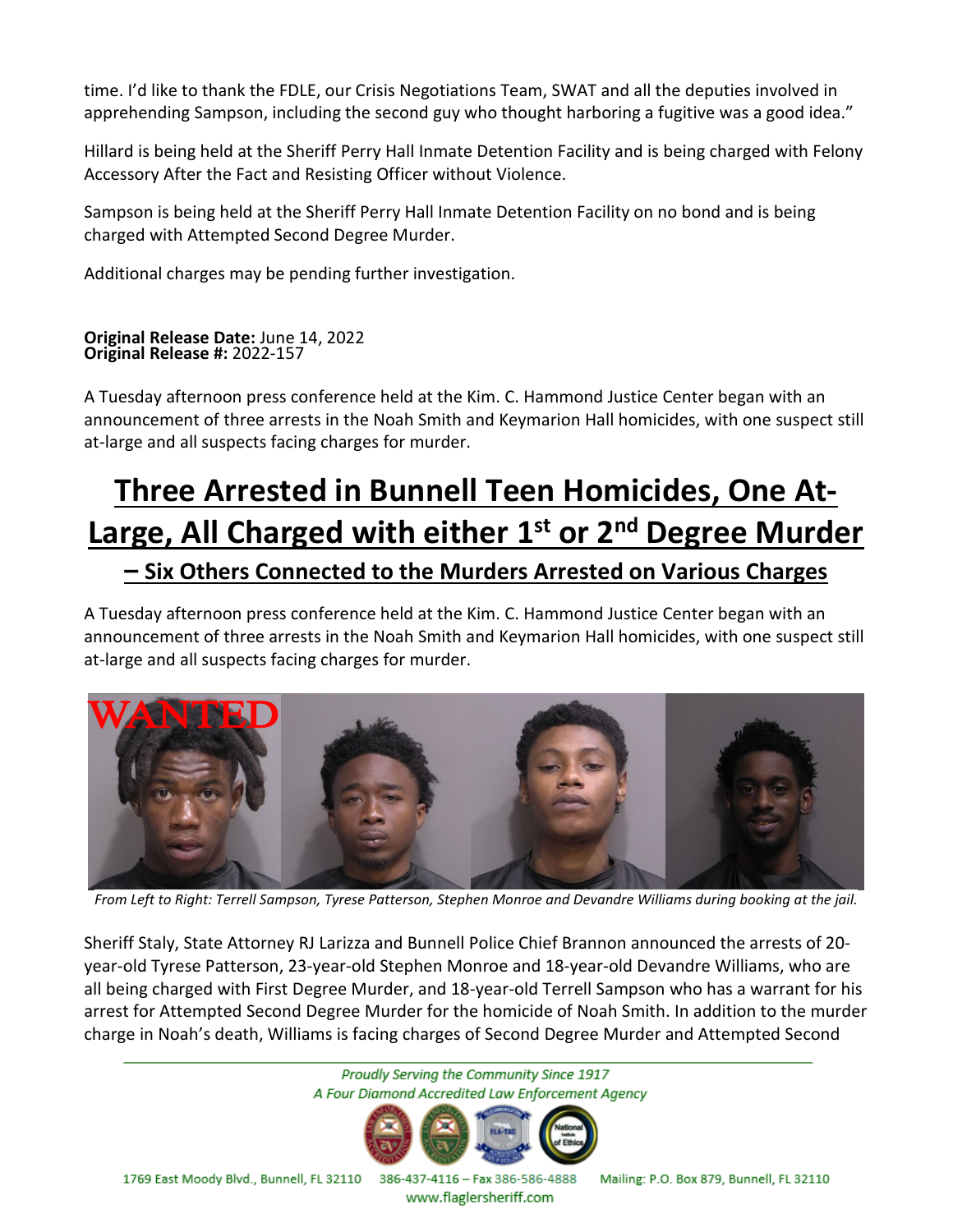time. I'd like to thank the FDLE, our Crisis Negotiations Team, SWAT and all the deputies involved in apprehending Sampson, including the second guy who thought harboring a fugitive was a good idea."

Hillard is being held at the Sheriff Perry Hall Inmate Detention Facility and is being charged with Felony Accessory After the Fact and Resisting Officer without Violence.

Sampson is being held at the Sheriff Perry Hall Inmate Detention Facility on no bond and is being charged with Attempted Second Degree Murder.

Additional charges may be pending further investigation.

#### **Original Release Date:** June 14, 2022 **Original Release #:** 2022-157

A Tuesday afternoon press conference held at the Kim. C. Hammond Justice Center began with an announcement of three arrests in the Noah Smith and Keymarion Hall homicides, with one suspect still at-large and all suspects facing charges for murder.

### **Three Arrested in Bunnell Teen Homicides, One At-Large, All Charged with either 1st or 2nd Degree Murder – Six Others Connected to the Murders Arrested on Various Charges**

A Tuesday afternoon press conference held at the Kim. C. Hammond Justice Center began with an announcement of three arrests in the Noah Smith and Keymarion Hall homicides, with one suspect still at-large and all suspects facing charges for murder.



*From Left to Right: Terrell Sampson, Tyrese Patterson, Stephen Monroe and Devandre Williams during booking at the jail.*

Sheriff Staly, State Attorney RJ Larizza and Bunnell Police Chief Brannon announced the arrests of 20 year-old Tyrese Patterson, 23-year-old Stephen Monroe and 18-year-old Devandre Williams, who are all being charged with First Degree Murder, and 18-year-old Terrell Sampson who has a warrant for his arrest for Attempted Second Degree Murder for the homicide of Noah Smith. In addition to the murder charge in Noah's death, Williams is facing charges of Second Degree Murder and Attempted Second

> Proudly Serving the Community Since 1917 A Four Diamond Accredited Law Enforcement Agency



1769 East Moody Blvd., Bunnell, FL 32110 386-437-4116 - Fax 386-586-4888

Mailing: P.O. Box 879, Bunnell, FL 32110

www.flaglersheriff.com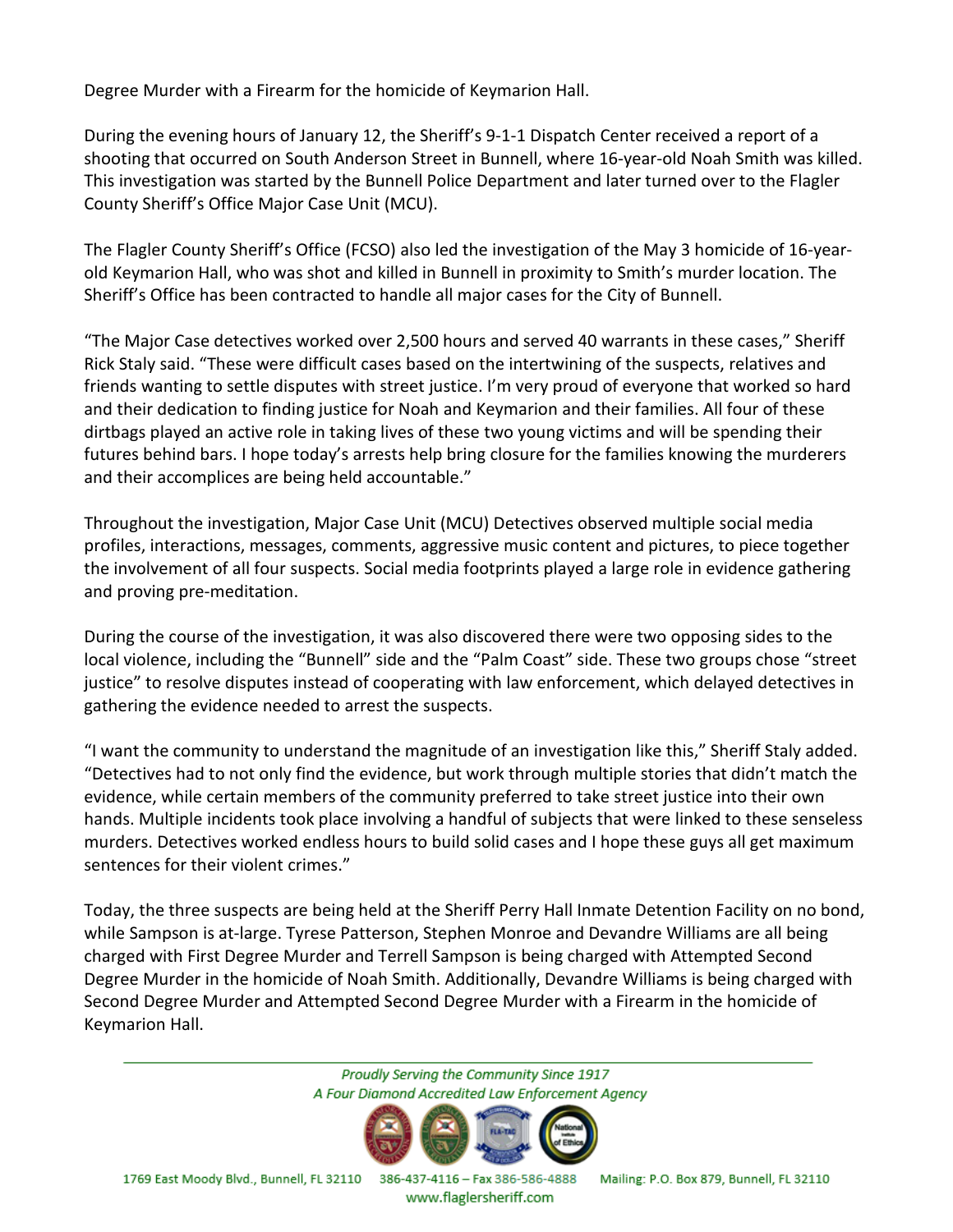Degree Murder with a Firearm for the homicide of Keymarion Hall.

During the evening hours of January 12, the Sheriff's 9-1-1 Dispatch Center received a report of a shooting that occurred on South Anderson Street in Bunnell, where 16-year-old Noah Smith was killed. This investigation was started by the Bunnell Police Department and later turned over to the Flagler County Sheriff's Office Major Case Unit (MCU).

The Flagler County Sheriff's Office (FCSO) also led the investigation of the May 3 homicide of 16-yearold Keymarion Hall, who was shot and killed in Bunnell in proximity to Smith's murder location. The Sheriff's Office has been contracted to handle all major cases for the City of Bunnell.

"The Major Case detectives worked over 2,500 hours and served 40 warrants in these cases," Sheriff Rick Staly said. "These were difficult cases based on the intertwining of the suspects, relatives and friends wanting to settle disputes with street justice. I'm very proud of everyone that worked so hard and their dedication to finding justice for Noah and Keymarion and their families. All four of these dirtbags played an active role in taking lives of these two young victims and will be spending their futures behind bars. I hope today's arrests help bring closure for the families knowing the murderers and their accomplices are being held accountable."

Throughout the investigation, Major Case Unit (MCU) Detectives observed multiple social media profiles, interactions, messages, comments, aggressive music content and pictures, to piece together the involvement of all four suspects. Social media footprints played a large role in evidence gathering and proving pre-meditation.

During the course of the investigation, it was also discovered there were two opposing sides to the local violence, including the "Bunnell" side and the "Palm Coast" side. These two groups chose "street justice" to resolve disputes instead of cooperating with law enforcement, which delayed detectives in gathering the evidence needed to arrest the suspects.

"I want the community to understand the magnitude of an investigation like this," Sheriff Staly added. "Detectives had to not only find the evidence, but work through multiple stories that didn't match the evidence, while certain members of the community preferred to take street justice into their own hands. Multiple incidents took place involving a handful of subjects that were linked to these senseless murders. Detectives worked endless hours to build solid cases and I hope these guys all get maximum sentences for their violent crimes."

Today, the three suspects are being held at the Sheriff Perry Hall Inmate Detention Facility on no bond, while Sampson is at-large. Tyrese Patterson, Stephen Monroe and Devandre Williams are all being charged with First Degree Murder and Terrell Sampson is being charged with Attempted Second Degree Murder in the homicide of Noah Smith. Additionally, Devandre Williams is being charged with Second Degree Murder and Attempted Second Degree Murder with a Firearm in the homicide of Keymarion Hall.

> Proudly Serving the Community Since 1917 A Four Diamond Accredited Law Enforcement Agency



1769 East Moody Blvd., Bunnell, FL 32110 386-437-4116 - Fax 386-586-4888

www.flaglersheriff.com

Mailing: P.O. Box 879, Bunnell, FL 32110